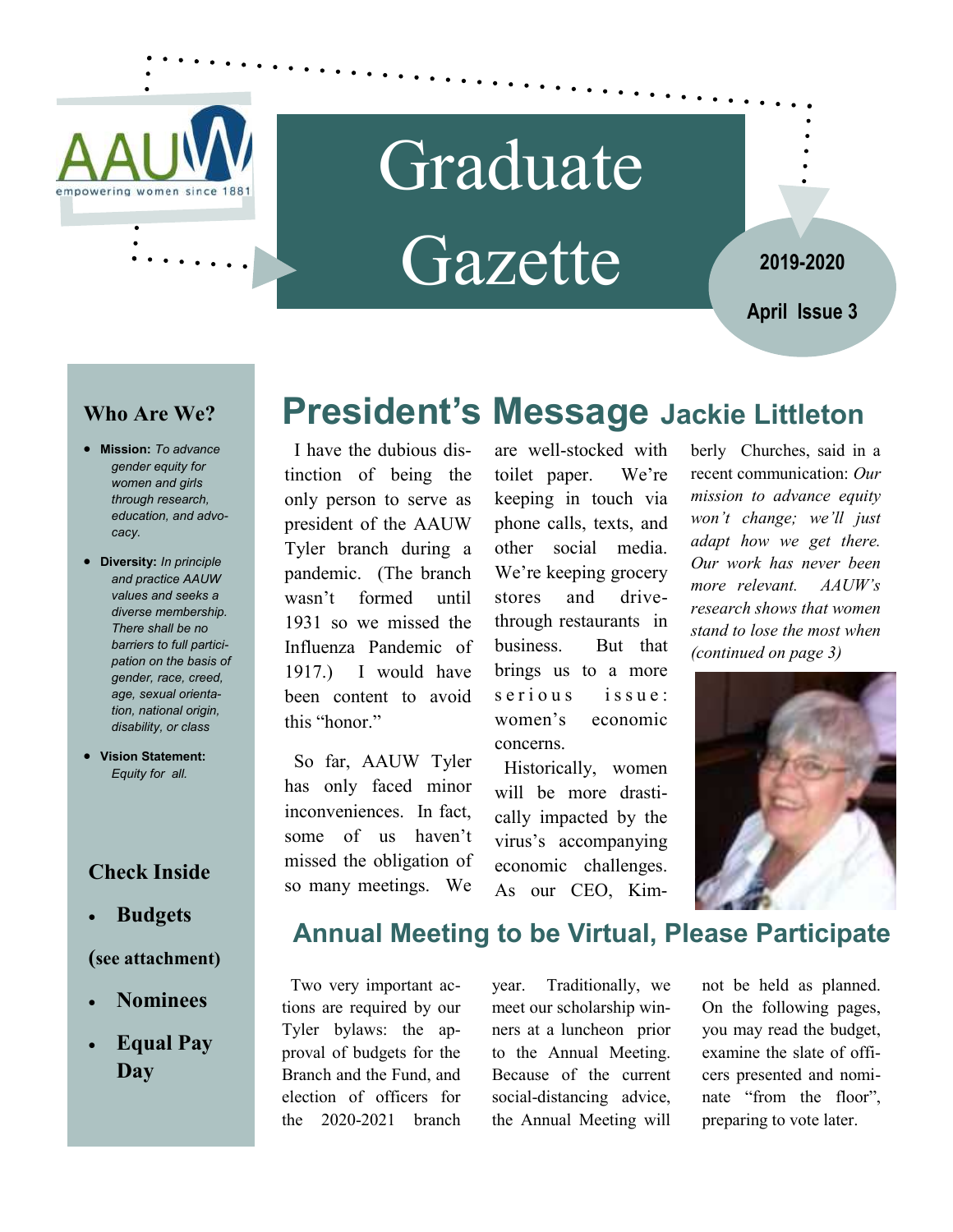

# Graduate Gazette

**2019-2020**

**April Issue 3** 

### **Who Are We?**

- **Mission:** *To advance gender equity for women and girls through research, education, and advocacy.*
- **Diversity:** *In principle and practice AAUW values and seeks a diverse membership. There shall be no barriers to full participation on the basis of gender, race, creed, age, sexual orientation, national origin, disability, or class*
- **Vision Statement:**  *Equity for all.*

### **Check Inside**

**Budgets** 

#### **(see attachment)**

- **Nominees**
- **Equal Pay Day**

### **President's Message Jackie Littleton**

 I have the dubious distinction of being the only person to serve as president of the AAUW Tyler branch during a pandemic. (The branch wasn't formed until 1931 so we missed the Influenza Pandemic of 1917.) I would have been content to avoid this "honor."

 So far, AAUW Tyler has only faced minor inconveniences. In fact, some of us haven't missed the obligation of so many meetings. We

are well-stocked with toilet paper. We're keeping in touch via phone calls, texts, and other social media. We're keeping grocery stores and drivethrough restaurants in business. But that brings us to a more s e rious issue: women's economic concerns.

 Historically, women will be more drastically impacted by the virus's accompanying economic challenges. As our CEO, Kimberly Churches, said in a recent communication: *Our mission to advance equity won't change; we'll just adapt how we get there. Our work has never been more relevant. AAUW's research shows that women stand to lose the most when (continued on page 3)* 



### **Annual Meeting to be Virtual, Please Participate**

 Two very important actions are required by our Tyler bylaws: the approval of budgets for the Branch and the Fund, and election of officers for the 2020-2021 branch

year. Traditionally, we meet our scholarship winners at a luncheon prior to the Annual Meeting. Because of the current social-distancing advice, the Annual Meeting will

not be held as planned. On the following pages, you may read the budget, examine the slate of officers presented and nominate "from the floor", preparing to vote later.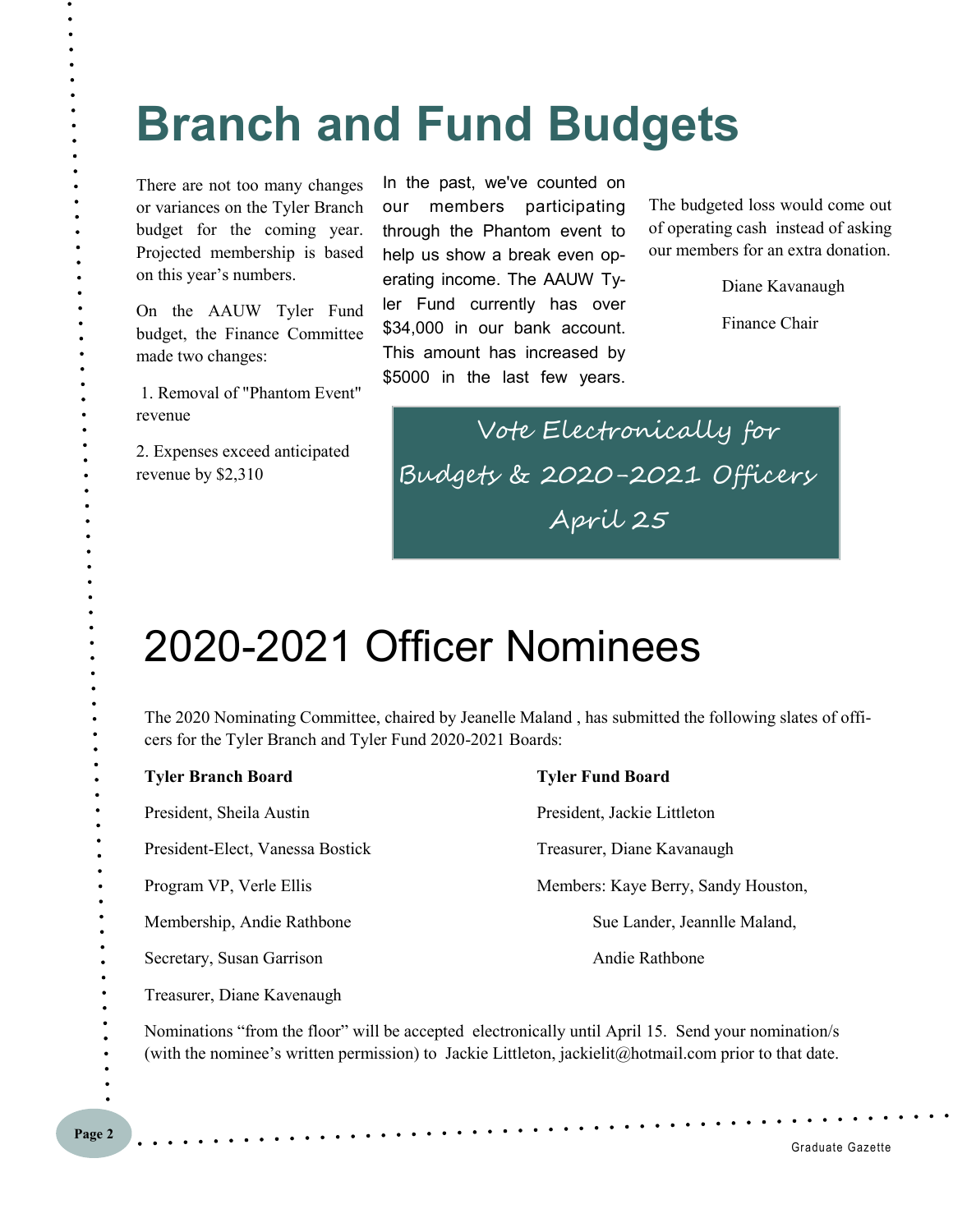# **Branch and Fund Budgets**

There are not too many changes or variances on the Tyler Branch budget for the coming year. Projected membership is based on this year's numbers.

On the AAUW Tyler Fund budget, the Finance Committee made two changes:

 1. Removal of "Phantom Event" revenue

2. Expenses exceed anticipated revenue by \$2,310

In the past, we've counted on our members participating through the Phantom event to help us show a break even operating income. The AAUW Tyler Fund currently has over \$34,000 in our bank account. This amount has increased by \$5000 in the last few years.

The budgeted loss would come out of operating cash instead of asking our members for an extra donation.

Diane Kavanaugh

Finance Chair

 Vote Electronically for Budgets & 2020-2021 Officers April 25

## 2020-2021 Officer Nominees

The 2020 Nominating Committee, chaired by Jeanelle Maland , has submitted the following slates of officers for the Tyler Branch and Tyler Fund 2020-2021 Boards:

| <b>Tyler Branch Board</b>                                                                              | <b>Tyler Fund Board</b>                                   |
|--------------------------------------------------------------------------------------------------------|-----------------------------------------------------------|
| President, Sheila Austin                                                                               | President, Jackie Littleton                               |
| President-Elect, Vanessa Bostick                                                                       | Treasurer, Diane Kavanaugh                                |
| Program VP, Verle Ellis                                                                                | Members: Kaye Berry, Sandy Houston,                       |
| Membership, Andie Rathbone                                                                             | Sue Lander, Jeannile Maland,                              |
| Secretary, Susan Garrison                                                                              | Andie Rathbone                                            |
| Treasurer, Diane Kavenaugh                                                                             |                                                           |
| $\mathbf{v}$ , $\mathbf{v}$ , $\mathbf{v}$ , $\mathbf{v}$ , $\mathbf{v}$ , $\mathbf{v}$ , $\mathbf{v}$ | $\sim$ 1 1 $\sim$ 11 $\sim$ 11 $\sim$ 11 $\sim$ 11 $\sim$ |

Nominations "from the floor" will be accepted electronically until April 15. Send your nomination/s (with the nominee's written permission) to Jackie Littleton, jackielit@hotmail.com prior to that date.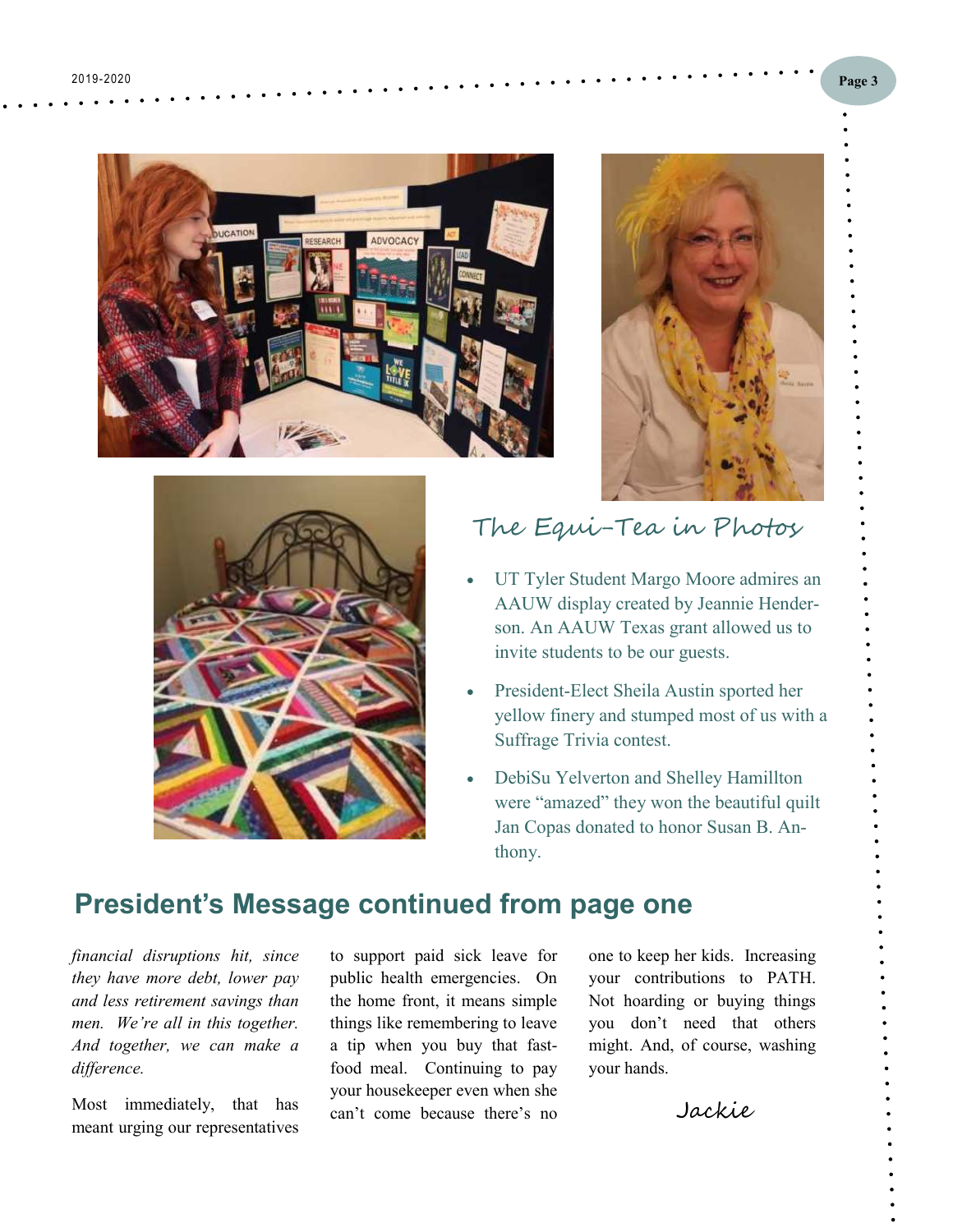





### The Equi-Tea in Photos

- UT Tyler Student Margo Moore admires an AAUW display created by Jeannie Henderson. An AAUW Texas grant allowed us to invite students to be our guests.
- President-Elect Sheila Austin sported her yellow finery and stumped most of us with a Suffrage Trivia contest.
- DebiSu Yelverton and Shelley Hamillton were "amazed" they won the beautiful quilt Jan Copas donated to honor Susan B. Anthony.

### **President's Message continued from page one**

*financial disruptions hit, since they have more debt, lower pay and less retirement savings than men. We're all in this together. And together, we can make a difference.* 

Most immediately, that has meant urging our representatives

to support paid sick leave for public health emergencies. On the home front, it means simple things like remembering to leave a tip when you buy that fastfood meal. Continuing to pay your housekeeper even when she can't come because there's no

one to keep her kids. Increasing your contributions to PATH. Not hoarding or buying things you don't need that others might. And, of course, washing your hands.

Jackie